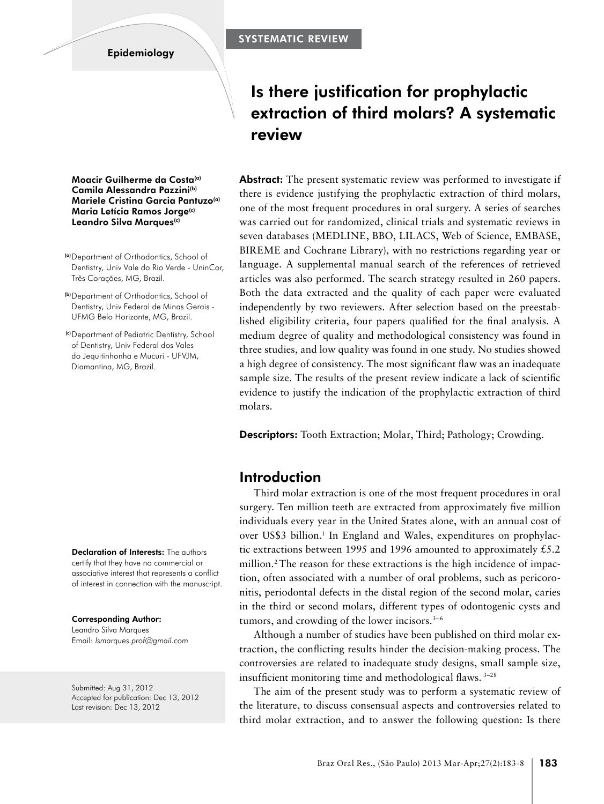#### **Epidemiology**

# Is there justification for prophylactic extraction of third molars? A systematic review

**Abstract:** The present systematic review was performed to investigate if there is evidence justifying the prophylactic extraction of third molars, one of the most frequent procedures in oral surgery. A series of searches was carried out for randomized, clinical trials and systematic reviews in seven databases (MEDLINE, BBO, LILACS, Web of Science, EMBASE, BIREME and Cochrane Library), with no restrictions regarding year or language. A supplemental manual search of the references of retrieved articles was also performed. The search strategy resulted in 260 papers. Both the data extracted and the quality of each paper were evaluated independently by two reviewers. After selection based on the preestablished eligibility criteria, four papers qualified for the final analysis. A medium degree of quality and methodological consistency was found in three studies, and low quality was found in one study. No studies showed a high degree of consistency. The most significant flaw was an inadequate sample size. The results of the present review indicate a lack of scientific evidence to justify the indication of the prophylactic extraction of third molars.

Descriptors: Tooth Extraction; Molar, Third; Pathology; Crowding.

### Introduction

Third molar extraction is one of the most frequent procedures in oral surgery. Ten million teeth are extracted from approximately five million individuals every year in the United States alone, with an annual cost of over US\$3 billion.<sup>1</sup> In England and Wales, expenditures on prophylactic extractions between 1995 and 1996 amounted to approximately  $£5.2$ million.2 The reason for these extractions is the high incidence of impaction, often associated with a number of oral problems, such as pericoronitis, periodontal defects in the distal region of the second molar, caries in the third or second molars, different types of odontogenic cysts and tumors, and crowding of the lower incisors.<sup>3-6</sup>

Although a number of studies have been published on third molar extraction, the conflicting results hinder the decision-making process. The controversies are related to inadequate study designs, small sample size, insufficient monitoring time and methodological flaws. 3–28

The aim of the present study was to perform a systematic review of the literature, to discuss consensual aspects and controversies related to third molar extraction, and to answer the following question: Is there

Moacir Guilherme da Costa(a) Camila Alessandra Pazzini(b) Mariele Cristina Garcia Pantuzo(a) Maria Letícia Ramos Jorge(c) Leandro Silva Marques(c)

- (a)Department of Orthodontics, School of Dentistry, Univ Vale do Rio Verde - UninCor, Três Corações, MG, Brazil.
- (b)Department of Orthodontics, School of Dentistry, Univ Federal de Minas Gerais - UFMG Belo Horizonte, MG, Brazil.
- (c)Department of Pediatric Dentistry, School of Dentistry, Univ Federal dos Vales do Jequitinhonha e Mucuri - UFVJM, Diamantina, MG, Brazil.

Declaration of Interests: The authors certify that they have no commercial or associative interest that represents a conflict of interest in connection with the manuscript.

Corresponding Author: Leandro Silva Marques Email: *lsmarques.prof@gmail.com*

Submitted: Aug 31, 2012 Accepted for publication: Dec 13, 2012 Last revision: Dec 13, 2012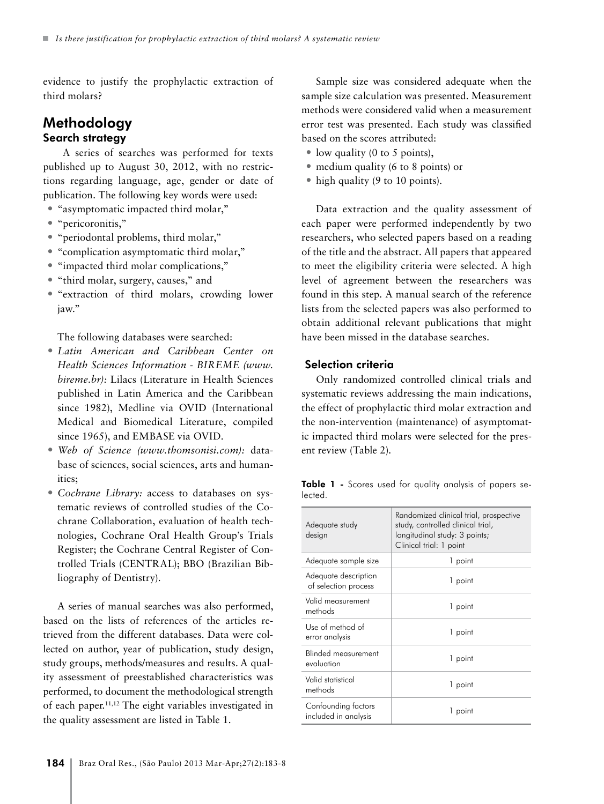evidence to justify the prophylactic extraction of third molars?

# Methodology Search strategy

 A series of searches was performed for texts published up to August 30, 2012, with no restrictions regarding language, age, gender or date of publication. The following key words were used:

- "asymptomatic impacted third molar,"
- "pericoronitis,"
- "periodontal problems, third molar,"
- "complication asymptomatic third molar,"
- "impacted third molar complications,"
- "third molar, surgery, causes," and
- "extraction of third molars, crowding lower jaw."

The following databases were searched:

- *• Latin American and Caribbean Center on Health Sciences Information - BIREME (www. bireme.br):* Lilacs (Literature in Health Sciences published in Latin America and the Caribbean since 1982), Medline via OVID (International Medical and Biomedical Literature, compiled since 1965), and EMBASE via OVID.
- *• Web of Science (www.thomsonisi.com):* database of sciences, social sciences, arts and humanities;
- *• Cochrane Library:* access to databases on systematic reviews of controlled studies of the Cochrane Collaboration, evaluation of health technologies, Cochrane Oral Health Group's Trials Register; the Cochrane Central Register of Controlled Trials (CENTRAL); BBO (Brazilian Bibliography of Dentistry).

A series of manual searches was also performed, based on the lists of references of the articles retrieved from the different databases. Data were collected on author, year of publication, study design, study groups, methods/measures and results. A quality assessment of preestablished characteristics was performed, to document the methodological strength of each paper.11,12 The eight variables investigated in the quality assessment are listed in Table 1.

Sample size was considered adequate when the sample size calculation was presented. Measurement methods were considered valid when a measurement error test was presented. Each study was classified based on the scores attributed:

- low quality (0 to 5 points),
- medium quality (6 to 8 points) or
- high quality (9 to 10 points).

Data extraction and the quality assessment of each paper were performed independently by two researchers, who selected papers based on a reading of the title and the abstract. All papers that appeared to meet the eligibility criteria were selected. A high level of agreement between the researchers was found in this step. A manual search of the reference lists from the selected papers was also performed to obtain additional relevant publications that might have been missed in the database searches.

#### Selection criteria

Only randomized controlled clinical trials and systematic reviews addressing the main indications, the effect of prophylactic third molar extraction and the non-intervention (maintenance) of asymptomatic impacted third molars were selected for the present review (Table 2).

Table 1 - Scores used for quality analysis of papers selected.

| Adequate study<br>design                     | Randomized clinical trial, prospective<br>study, controlled clinical trial,<br>longitudinal study: 3 points;<br>Clinical trial: 1 point |  |  |  |
|----------------------------------------------|-----------------------------------------------------------------------------------------------------------------------------------------|--|--|--|
| Adequate sample size                         | 1 point                                                                                                                                 |  |  |  |
| Adequate description<br>of selection process | 1 point                                                                                                                                 |  |  |  |
| Valid measurement<br>methods                 | 1 point                                                                                                                                 |  |  |  |
| Use of method of<br>error analysis           | 1 point                                                                                                                                 |  |  |  |
| <b>Blinded measurement</b><br>evaluation     | 1 point                                                                                                                                 |  |  |  |
| Valid statistical<br>methods                 | 1 point                                                                                                                                 |  |  |  |
| Contounding factors<br>included in analysis  | 1 point                                                                                                                                 |  |  |  |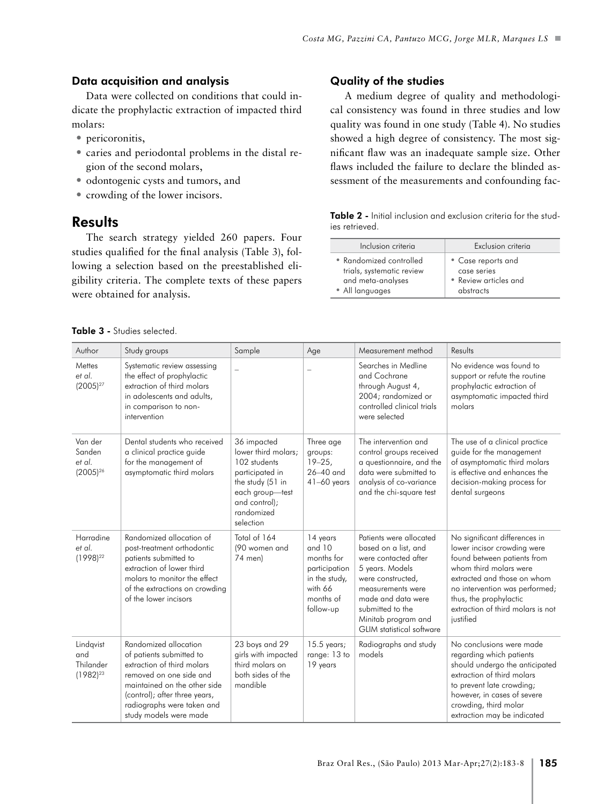#### Data acquisition and analysis

Data were collected on conditions that could indicate the prophylactic extraction of impacted third molars:

- pericoronitis,
- caries and periodontal problems in the distal region of the second molars,
- odontogenic cysts and tumors, and
- crowding of the lower incisors.

# **Results**

The search strategy yielded 260 papers. Four studies qualified for the final analysis (Table 3), following a selection based on the preestablished eligibility criteria. The complete texts of these papers were obtained for analysis.

#### Quality of the studies

A medium degree of quality and methodological consistency was found in three studies and low quality was found in one study (Table 4). No studies showed a high degree of consistency. The most significant flaw was an inadequate sample size. Other flaws included the failure to declare the blinded assessment of the measurements and confounding fac-

Table 2 - Initial inclusion and exclusion criteria for the studies retrieved.

| Inclusion criteria        | Exclusion criteria    |
|---------------------------|-----------------------|
| • Randomized controlled   | • Case reports and    |
| trials, systematic review | case series           |
| and meta-analyses         | • Review articles and |
| • All languages           | abstracts             |

|  |  |  | Table 3 - Studies selected. |  |
|--|--|--|-----------------------------|--|
|--|--|--|-----------------------------|--|

| Author                                         | Study groups                                                                                                                                                                                                                        | Sample                                                                                                                                                   | Age                                                                                                     | Measurement method                                                                                                                                                                                                                        | Results                                                                                                                                                                                                                                                            |  |
|------------------------------------------------|-------------------------------------------------------------------------------------------------------------------------------------------------------------------------------------------------------------------------------------|----------------------------------------------------------------------------------------------------------------------------------------------------------|---------------------------------------------------------------------------------------------------------|-------------------------------------------------------------------------------------------------------------------------------------------------------------------------------------------------------------------------------------------|--------------------------------------------------------------------------------------------------------------------------------------------------------------------------------------------------------------------------------------------------------------------|--|
| Mettes<br>et al.<br>$(2005)^{27}$              | Systematic review assessing<br>the effect of prophylactic<br>extraction of third molars<br>in adolescents and adults,<br>in comparison to non-<br>intervention                                                                      | $\equiv$                                                                                                                                                 | $\overline{\phantom{a}}$                                                                                | Searches in Medline<br>and Cochrane<br>through August 4,<br>2004; randomized or<br>controlled clinical trials<br>were selected                                                                                                            | No evidence was found to<br>support or refute the routine<br>prophylactic extraction of<br>asymptomatic impacted third<br>molars                                                                                                                                   |  |
| Van der<br>Sanden<br>et al.<br>$(2005)^{26}$   | Dental students who received<br>a clinical practice guide<br>for the management of<br>asymptomatic third molars                                                                                                                     | 36 impacted<br>lower third molars;<br>102 students<br>participated in<br>the study (51 in<br>each group-test<br>and control);<br>randomized<br>selection | Three age<br>groups:<br>$19 - 25$<br>$26-40$ and<br>$41-60$ years                                       | The intervention and<br>control groups received<br>a questionnaire, and the<br>data were submitted to<br>analysis of co-variance<br>and the chi-square test                                                                               | The use of a clinical practice<br>guide for the management<br>of asymptomatic third molars<br>is effective and enhances the<br>decision-making process for<br>dental surgeons                                                                                      |  |
| Harradine<br>et al.<br>$(1998)^{22}$           | Randomized allocation of<br>post-treatment orthodontic<br>patients submitted to<br>extraction of lower third<br>molars to monitor the effect<br>of the extractions on crowding<br>of the lower incisors                             | Total of 164<br>(90 women and<br>74 men)                                                                                                                 | 14 years<br>and 10<br>months for<br>participation<br>in the study,<br>with 66<br>months of<br>follow-up | Patients were allocated<br>based on a list, and<br>were contacted after<br>5 years. Models<br>were constructed,<br>measurements were<br>made and data were<br>submitted to the<br>Minitab program and<br><b>GLIM</b> statistical software | No significant differences in<br>lower incisor crowding were<br>found between patients from<br>whom third molars were<br>extracted and those on whom<br>no intervention was performed;<br>thus, the prophylactic<br>extraction of third molars is not<br>justified |  |
| Lindqvist<br>and<br>Thilander<br>$(1982)^{23}$ | Randomized allocation<br>of patients submitted to<br>extraction of third molars<br>removed on one side and<br>maintained on the other side<br>(control); after three years,<br>radiographs were taken and<br>study models were made | 23 boys and 29<br>girls with impacted<br>third molars on<br>both sides of the<br>mandible                                                                | $15.5$ years;<br>range: 13 to<br>19 years                                                               | Radiographs and study<br>models                                                                                                                                                                                                           | No conclusions were made<br>regarding which patients<br>should undergo the anticipated<br>extraction of third molars<br>to prevent late crowding;<br>however, in cases of severe<br>crowding, third molar<br>extraction may be indicated                           |  |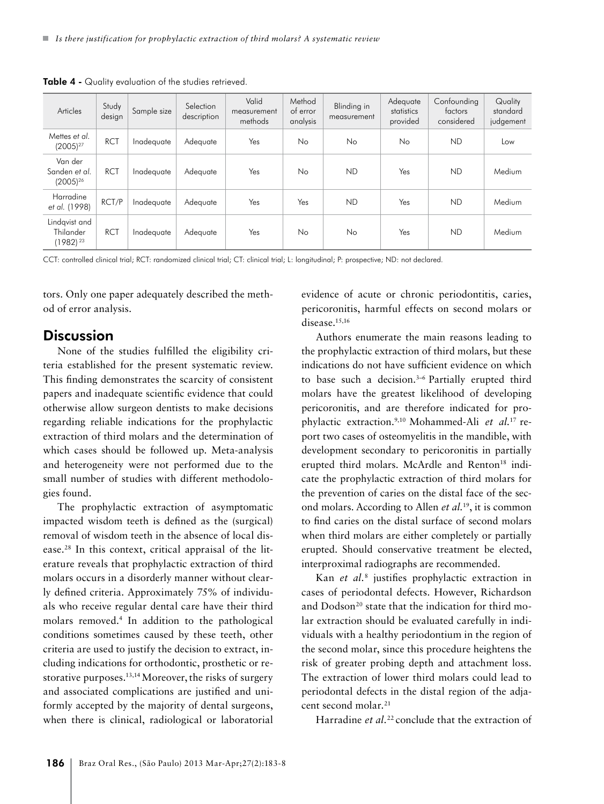| Articles                                    | Study<br>design | Sample size | Selection<br>description | Valid<br>measurement<br>methods | Method<br>of error<br>analysis | Blinding in<br>measurement | Adequate<br>statistics<br>provided | Confounding<br>factors<br>considered | Quality<br>standard<br>judgement |
|---------------------------------------------|-----------------|-------------|--------------------------|---------------------------------|--------------------------------|----------------------------|------------------------------------|--------------------------------------|----------------------------------|
| Mettes et al.<br>$(2005)^{27}$              | <b>RCT</b>      | Inadequate  | Adequate                 | Yes                             | No                             | <b>No</b>                  | No                                 | ND                                   | Low                              |
| Van der<br>Sanden et al.<br>$(2005)^{26}$   | <b>RCT</b>      | Inadequate  | Adequate                 | Yes                             | No                             | <b>ND</b>                  | Yes                                | <b>ND</b>                            | Medium                           |
| Harradine<br>et al. (1998)                  | RCT/P           | Inadequate  | Adequate                 | Yes                             | Yes                            | <b>ND</b>                  | Yes                                | ND                                   | Medium                           |
| Lindgvist and<br>Thilander<br>$(1982)^{23}$ | <b>RCT</b>      | Inadequate  | Adequate                 | Yes                             | No                             | N <sub>o</sub>             | Yes                                | <b>ND</b>                            | Medium                           |

Table 4 - Quality evaluation of the studies retrieved.

CCT: controlled clinical trial; RCT: randomized clinical trial; CT: clinical trial; L: longitudinal; P: prospective; ND: not declared.

tors. Only one paper adequately described the method of error analysis.

### **Discussion**

None of the studies fulfilled the eligibility criteria established for the present systematic review. This finding demonstrates the scarcity of consistent papers and inadequate scientific evidence that could otherwise allow surgeon dentists to make decisions regarding reliable indications for the prophylactic extraction of third molars and the determination of which cases should be followed up. Meta-analysis and heterogeneity were not performed due to the small number of studies with different methodologies found.

The prophylactic extraction of asymptomatic impacted wisdom teeth is defined as the (surgical) removal of wisdom teeth in the absence of local disease.28 In this context, critical appraisal of the literature reveals that prophylactic extraction of third molars occurs in a disorderly manner without clearly defined criteria. Approximately 75% of individuals who receive regular dental care have their third molars removed.4 In addition to the pathological conditions sometimes caused by these teeth, other criteria are used to justify the decision to extract, including indications for orthodontic, prosthetic or restorative purposes.<sup>13,14</sup> Moreover, the risks of surgery and associated complications are justified and uniformly accepted by the majority of dental surgeons, when there is clinical, radiological or laboratorial

evidence of acute or chronic periodontitis, caries, pericoronitis, harmful effects on second molars or disease.<sup>15,16</sup>

Authors enumerate the main reasons leading to the prophylactic extraction of third molars, but these indications do not have sufficient evidence on which to base such a decision.<sup>3-6</sup> Partially erupted third molars have the greatest likelihood of developing pericoronitis, and are therefore indicated for prophylactic extraction.9,10 Mohammed-Ali *et al.*17 report two cases of osteomyelitis in the mandible, with development secondary to pericoronitis in partially erupted third molars. McArdle and Renton<sup>18</sup> indicate the prophylactic extraction of third molars for the prevention of caries on the distal face of the second molars. According to Allen *et al.*19, it is common to find caries on the distal surface of second molars when third molars are either completely or partially erupted. Should conservative treatment be elected, interproximal radiographs are recommended.

Kan *et al.*<sup>8</sup> justifies prophylactic extraction in cases of periodontal defects. However, Richardson and Dodson<sup>20</sup> state that the indication for third molar extraction should be evaluated carefully in individuals with a healthy periodontium in the region of the second molar, since this procedure heightens the risk of greater probing depth and attachment loss. The extraction of lower third molars could lead to periodontal defects in the distal region of the adjacent second molar.<sup>21</sup>

Harradine *et al.*<sup>22</sup> conclude that the extraction of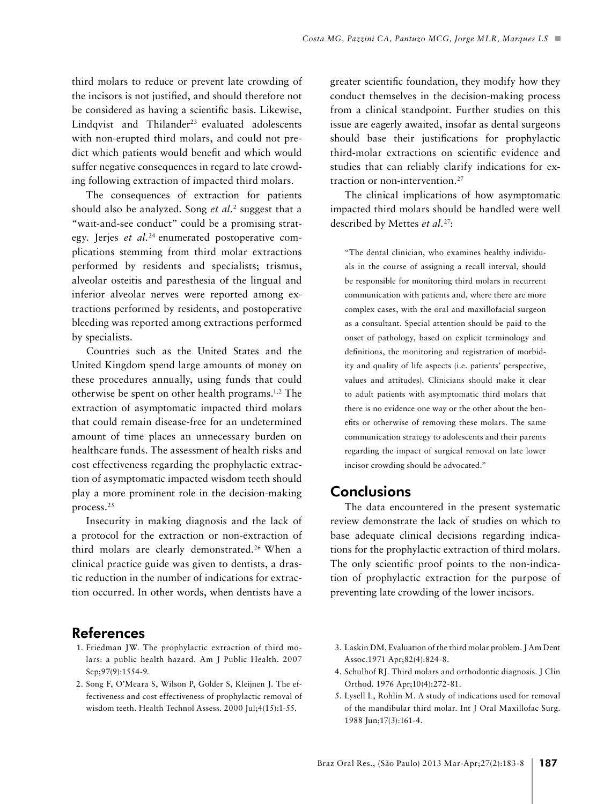third molars to reduce or prevent late crowding of the incisors is not justified, and should therefore not be considered as having a scientific basis. Likewise, Lindqvist and Thilander<sup>23</sup> evaluated adolescents with non-erupted third molars, and could not predict which patients would benefit and which would suffer negative consequences in regard to late crowding following extraction of impacted third molars.

The consequences of extraction for patients should also be analyzed. Song *et al.*<sup>2</sup> suggest that a "wait-and-see conduct" could be a promising strategy. Jerjes *et al.*24 enumerated postoperative complications stemming from third molar extractions performed by residents and specialists; trismus, alveolar osteitis and paresthesia of the lingual and inferior alveolar nerves were reported among extractions performed by residents, and postoperative bleeding was reported among extractions performed by specialists.

Countries such as the United States and the United Kingdom spend large amounts of money on these procedures annually, using funds that could otherwise be spent on other health programs.1,2 The extraction of asymptomatic impacted third molars that could remain disease-free for an undetermined amount of time places an unnecessary burden on healthcare funds. The assessment of health risks and cost effectiveness regarding the prophylactic extraction of asymptomatic impacted wisdom teeth should play a more prominent role in the decision-making process.25

Insecurity in making diagnosis and the lack of a protocol for the extraction or non-extraction of third molars are clearly demonstrated.26 When a clinical practice guide was given to dentists, a drastic reduction in the number of indications for extraction occurred. In other words, when dentists have a

greater scientific foundation, they modify how they conduct themselves in the decision-making process from a clinical standpoint. Further studies on this issue are eagerly awaited, insofar as dental surgeons should base their justifications for prophylactic third-molar extractions on scientific evidence and studies that can reliably clarify indications for extraction or non-intervention.27

The clinical implications of how asymptomatic impacted third molars should be handled were well described by Mettes *et al.*27:

"The dental clinician, who examines healthy individuals in the course of assigning a recall interval, should be responsible for monitoring third molars in recurrent communication with patients and, where there are more complex cases, with the oral and maxillofacial surgeon as a consultant. Special attention should be paid to the onset of pathology, based on explicit terminology and definitions, the monitoring and registration of morbidity and quality of life aspects (i.e. patients' perspective, values and attitudes). Clinicians should make it clear to adult patients with asymptomatic third molars that there is no evidence one way or the other about the benefits or otherwise of removing these molars. The same communication strategy to adolescents and their parents regarding the impact of surgical removal on late lower incisor crowding should be advocated."

# **Conclusions**

The data encountered in the present systematic review demonstrate the lack of studies on which to base adequate clinical decisions regarding indications for the prophylactic extraction of third molars. The only scientific proof points to the non-indication of prophylactic extraction for the purpose of preventing late crowding of the lower incisors.

#### References

- 1. Friedman JW. The prophylactic extraction of third molars: a public health hazard. Am J Public Health. 2007 Sep;97(9):1554-9.
- 2. Song F, O'Meara S, Wilson P, Golder S, Kleijnen J. The effectiveness and cost effectiveness of prophylactic removal of wisdom teeth. Health Technol Assess. 2000 Jul;4(15):1-55.
- 3. Laskin DM. Evaluation of the third molar problem. J Am Dent Assoc.1971 Apr;82(4):824-8.
- 4. Schulhof RJ. Third molars and orthodontic diagnosis. J Clin Orthod. 1976 Apr;10(4):272-81.
- 5. Lysell L, Rohlin M. A study of indications used for removal of the mandibular third molar. Int J Oral Maxillofac Surg. 1988 Jun;17(3):161-4.